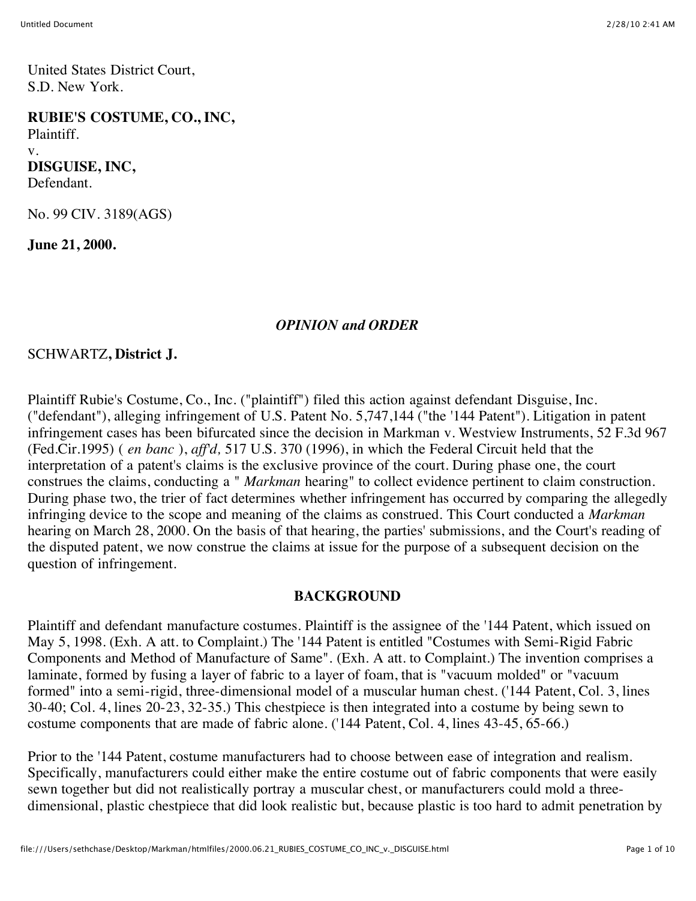United States District Court, S.D. New York.

**RUBIE'S COSTUME, CO., INC,** Plaintiff. v. **DISGUISE, INC,** Defendant.

No. 99 CIV. 3189(AGS)

**June 21, 2000.**

#### *OPINION and ORDER*

### SCHWARTZ**, District J.**

Plaintiff Rubie's Costume, Co., Inc. ("plaintiff") filed this action against defendant Disguise, Inc. ("defendant"), alleging infringement of U.S. Patent No. 5,747,144 ("the '144 Patent"). Litigation in patent infringement cases has been bifurcated since the decision in Markman v. Westview Instruments, 52 F.3d 967 (Fed.Cir.1995) ( *en banc* ), *aff'd,* 517 U.S. 370 (1996), in which the Federal Circuit held that the interpretation of a patent's claims is the exclusive province of the court. During phase one, the court construes the claims, conducting a " *Markman* hearing" to collect evidence pertinent to claim construction. During phase two, the trier of fact determines whether infringement has occurred by comparing the allegedly infringing device to the scope and meaning of the claims as construed. This Court conducted a *Markman* hearing on March 28, 2000. On the basis of that hearing, the parties' submissions, and the Court's reading of the disputed patent, we now construe the claims at issue for the purpose of a subsequent decision on the question of infringement.

#### **BACKGROUND**

Plaintiff and defendant manufacture costumes. Plaintiff is the assignee of the '144 Patent, which issued on May 5, 1998. (Exh. A att. to Complaint.) The '144 Patent is entitled "Costumes with Semi-Rigid Fabric Components and Method of Manufacture of Same". (Exh. A att. to Complaint.) The invention comprises a laminate, formed by fusing a layer of fabric to a layer of foam, that is "vacuum molded" or "vacuum formed" into a semi-rigid, three-dimensional model of a muscular human chest. ('144 Patent, Col. 3, lines 30-40; Col. 4, lines 20-23, 32-35.) This chestpiece is then integrated into a costume by being sewn to costume components that are made of fabric alone. ('144 Patent, Col. 4, lines 43-45, 65-66.)

Prior to the '144 Patent, costume manufacturers had to choose between ease of integration and realism. Specifically, manufacturers could either make the entire costume out of fabric components that were easily sewn together but did not realistically portray a muscular chest, or manufacturers could mold a threedimensional, plastic chestpiece that did look realistic but, because plastic is too hard to admit penetration by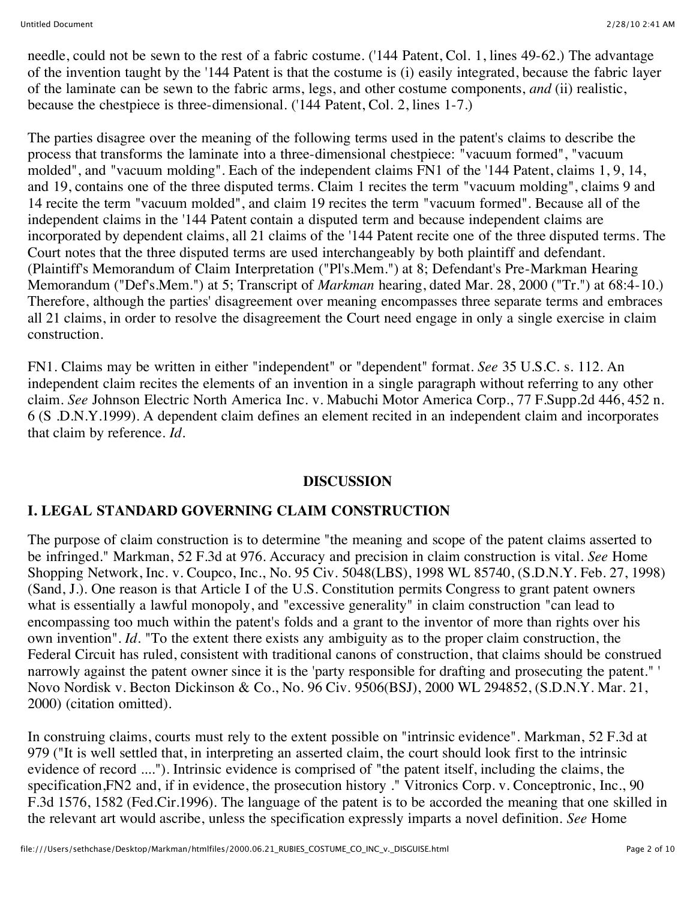needle, could not be sewn to the rest of a fabric costume. ('144 Patent, Col. 1, lines 49-62.) The advantage of the invention taught by the '144 Patent is that the costume is (i) easily integrated, because the fabric layer of the laminate can be sewn to the fabric arms, legs, and other costume components, *and* (ii) realistic, because the chestpiece is three-dimensional. ('144 Patent, Col. 2, lines 1-7.)

The parties disagree over the meaning of the following terms used in the patent's claims to describe the process that transforms the laminate into a three-dimensional chestpiece: "vacuum formed", "vacuum molded", and "vacuum molding". Each of the independent claims FN1 of the '144 Patent, claims 1, 9, 14, and 19, contains one of the three disputed terms. Claim 1 recites the term "vacuum molding", claims 9 and 14 recite the term "vacuum molded", and claim 19 recites the term "vacuum formed". Because all of the independent claims in the '144 Patent contain a disputed term and because independent claims are incorporated by dependent claims, all 21 claims of the '144 Patent recite one of the three disputed terms. The Court notes that the three disputed terms are used interchangeably by both plaintiff and defendant. (Plaintiff's Memorandum of Claim Interpretation ("Pl's.Mem.") at 8; Defendant's Pre-Markman Hearing Memorandum ("Def's.Mem.") at 5; Transcript of *Markman* hearing, dated Mar. 28, 2000 ("Tr.") at 68:4-10.) Therefore, although the parties' disagreement over meaning encompasses three separate terms and embraces all 21 claims, in order to resolve the disagreement the Court need engage in only a single exercise in claim construction.

FN1. Claims may be written in either "independent" or "dependent" format. *See* 35 U.S.C. s. 112. An independent claim recites the elements of an invention in a single paragraph without referring to any other claim. *See* Johnson Electric North America Inc. v. Mabuchi Motor America Corp., 77 F.Supp.2d 446, 452 n. 6 (S .D.N.Y.1999). A dependent claim defines an element recited in an independent claim and incorporates that claim by reference. *Id.*

## **DISCUSSION**

# **I. LEGAL STANDARD GOVERNING CLAIM CONSTRUCTION**

The purpose of claim construction is to determine "the meaning and scope of the patent claims asserted to be infringed." Markman, 52 F.3d at 976. Accuracy and precision in claim construction is vital. *See* Home Shopping Network, Inc. v. Coupco, Inc., No. 95 Civ. 5048(LBS), 1998 WL 85740, (S.D.N.Y. Feb. 27, 1998) (Sand, J.). One reason is that Article I of the U.S. Constitution permits Congress to grant patent owners what is essentially a lawful monopoly, and "excessive generality" in claim construction "can lead to encompassing too much within the patent's folds and a grant to the inventor of more than rights over his own invention". *Id.* "To the extent there exists any ambiguity as to the proper claim construction, the Federal Circuit has ruled, consistent with traditional canons of construction, that claims should be construed narrowly against the patent owner since it is the 'party responsible for drafting and prosecuting the patent." ' Novo Nordisk v. Becton Dickinson & Co., No. 96 Civ. 9506(BSJ), 2000 WL 294852, (S.D.N.Y. Mar. 21, 2000) (citation omitted).

In construing claims, courts must rely to the extent possible on "intrinsic evidence". Markman, 52 F.3d at 979 ("It is well settled that, in interpreting an asserted claim, the court should look first to the intrinsic evidence of record ...."). Intrinsic evidence is comprised of "the patent itself, including the claims, the specification, FN2 and, if in evidence, the prosecution history ." Vitronics Corp. v. Conceptronic, Inc., 90 F.3d 1576, 1582 (Fed.Cir.1996). The language of the patent is to be accorded the meaning that one skilled in the relevant art would ascribe, unless the specification expressly imparts a novel definition. *See* Home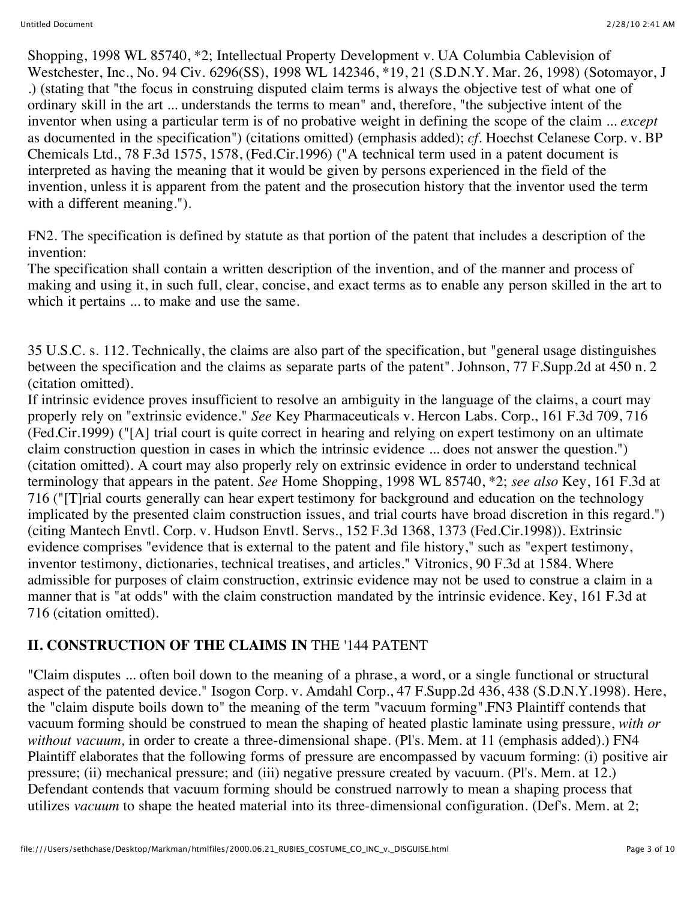Shopping, 1998 WL 85740, \*2; Intellectual Property Development v. UA Columbia Cablevision of Westchester, Inc., No. 94 Civ. 6296(SS), 1998 WL 142346, \*19, 21 (S.D.N.Y. Mar. 26, 1998) (Sotomayor, J .) (stating that "the focus in construing disputed claim terms is always the objective test of what one of ordinary skill in the art ... understands the terms to mean" and, therefore, "the subjective intent of the inventor when using a particular term is of no probative weight in defining the scope of the claim ... *except* as documented in the specification") (citations omitted) (emphasis added); *cf.* Hoechst Celanese Corp. v. BP Chemicals Ltd., 78 F.3d 1575, 1578, (Fed.Cir.1996) ("A technical term used in a patent document is interpreted as having the meaning that it would be given by persons experienced in the field of the invention, unless it is apparent from the patent and the prosecution history that the inventor used the term with a different meaning.").

FN2. The specification is defined by statute as that portion of the patent that includes a description of the invention:

The specification shall contain a written description of the invention, and of the manner and process of making and using it, in such full, clear, concise, and exact terms as to enable any person skilled in the art to which it pertains ... to make and use the same.

35 U.S.C. s. 112. Technically, the claims are also part of the specification, but "general usage distinguishes between the specification and the claims as separate parts of the patent". Johnson, 77 F.Supp.2d at 450 n. 2 (citation omitted).

If intrinsic evidence proves insufficient to resolve an ambiguity in the language of the claims, a court may properly rely on "extrinsic evidence." *See* Key Pharmaceuticals v. Hercon Labs. Corp., 161 F.3d 709, 716 (Fed.Cir.1999) ("[A] trial court is quite correct in hearing and relying on expert testimony on an ultimate claim construction question in cases in which the intrinsic evidence ... does not answer the question.") (citation omitted). A court may also properly rely on extrinsic evidence in order to understand technical terminology that appears in the patent. *See* Home Shopping, 1998 WL 85740, \*2; *see also* Key, 161 F.3d at 716 ("[T]rial courts generally can hear expert testimony for background and education on the technology implicated by the presented claim construction issues, and trial courts have broad discretion in this regard.") (citing Mantech Envtl. Corp. v. Hudson Envtl. Servs., 152 F.3d 1368, 1373 (Fed.Cir.1998)). Extrinsic evidence comprises "evidence that is external to the patent and file history," such as "expert testimony, inventor testimony, dictionaries, technical treatises, and articles." Vitronics, 90 F.3d at 1584. Where admissible for purposes of claim construction, extrinsic evidence may not be used to construe a claim in a manner that is "at odds" with the claim construction mandated by the intrinsic evidence. Key, 161 F.3d at 716 (citation omitted).

# **II. CONSTRUCTION OF THE CLAIMS IN** THE '144 PATENT

"Claim disputes ... often boil down to the meaning of a phrase, a word, or a single functional or structural aspect of the patented device." Isogon Corp. v. Amdahl Corp., 47 F.Supp.2d 436, 438 (S.D.N.Y.1998). Here, the "claim dispute boils down to" the meaning of the term "vacuum forming".FN3 Plaintiff contends that vacuum forming should be construed to mean the shaping of heated plastic laminate using pressure, *with or without vacuum,* in order to create a three-dimensional shape. (Pl's. Mem. at 11 (emphasis added).) FN4 Plaintiff elaborates that the following forms of pressure are encompassed by vacuum forming: (i) positive air pressure; (ii) mechanical pressure; and (iii) negative pressure created by vacuum. (Pl's. Mem. at 12.) Defendant contends that vacuum forming should be construed narrowly to mean a shaping process that utilizes *vacuum* to shape the heated material into its three-dimensional configuration. (Def's. Mem. at 2;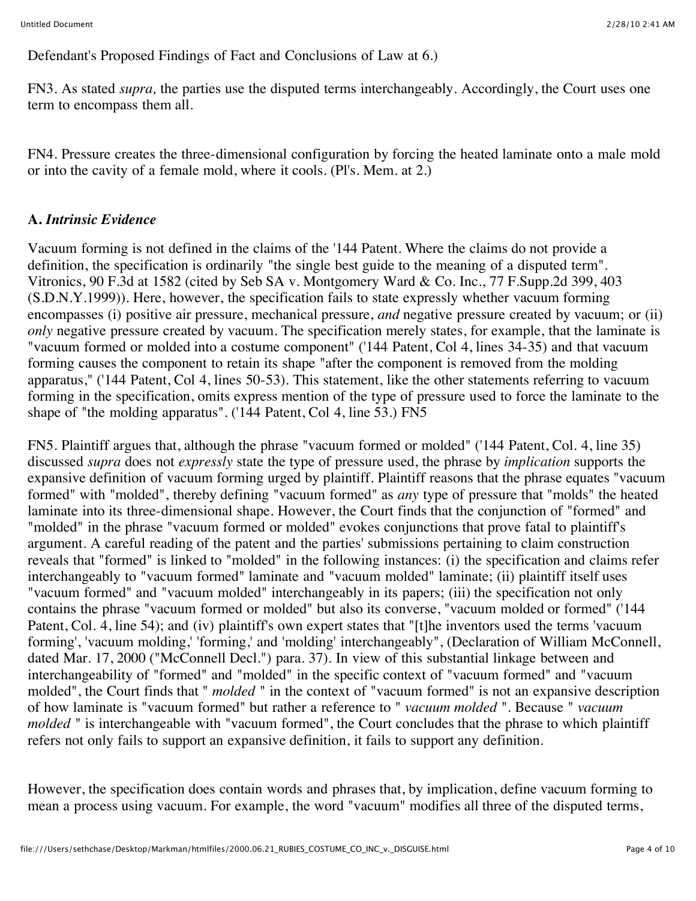Defendant's Proposed Findings of Fact and Conclusions of Law at 6.)

FN3. As stated *supra,* the parties use the disputed terms interchangeably. Accordingly, the Court uses one term to encompass them all.

FN4. Pressure creates the three-dimensional configuration by forcing the heated laminate onto a male mold or into the cavity of a female mold, where it cools. (Pl's. Mem. at 2.)

## **A.** *Intrinsic Evidence*

Vacuum forming is not defined in the claims of the '144 Patent. Where the claims do not provide a definition, the specification is ordinarily "the single best guide to the meaning of a disputed term". Vitronics, 90 F.3d at 1582 (cited by Seb SA v. Montgomery Ward & Co. Inc., 77 F.Supp.2d 399, 403 (S.D.N.Y.1999)). Here, however, the specification fails to state expressly whether vacuum forming encompasses (i) positive air pressure, mechanical pressure, *and* negative pressure created by vacuum; or (ii) *only* negative pressure created by vacuum. The specification merely states, for example, that the laminate is "vacuum formed or molded into a costume component" ('144 Patent, Col 4, lines 34-35) and that vacuum forming causes the component to retain its shape "after the component is removed from the molding apparatus," ('144 Patent, Col 4, lines 50-53). This statement, like the other statements referring to vacuum forming in the specification, omits express mention of the type of pressure used to force the laminate to the shape of "the molding apparatus". ('144 Patent, Col 4, line 53.) FN5

FN5. Plaintiff argues that, although the phrase "vacuum formed or molded" ('144 Patent, Col. 4, line 35) discussed *supra* does not *expressly* state the type of pressure used, the phrase by *implication* supports the expansive definition of vacuum forming urged by plaintiff. Plaintiff reasons that the phrase equates "vacuum formed" with "molded", thereby defining "vacuum formed" as *any* type of pressure that "molds" the heated laminate into its three-dimensional shape. However, the Court finds that the conjunction of "formed" and "molded" in the phrase "vacuum formed or molded" evokes conjunctions that prove fatal to plaintiff's argument. A careful reading of the patent and the parties' submissions pertaining to claim construction reveals that "formed" is linked to "molded" in the following instances: (i) the specification and claims refer interchangeably to "vacuum formed" laminate and "vacuum molded" laminate; (ii) plaintiff itself uses "vacuum formed" and "vacuum molded" interchangeably in its papers; (iii) the specification not only contains the phrase "vacuum formed or molded" but also its converse, "vacuum molded or formed" ('144 Patent, Col. 4, line 54); and (iv) plaintiff's own expert states that "[t]he inventors used the terms 'vacuum forming', 'vacuum molding,' 'forming,' and 'molding' interchangeably", (Declaration of William McConnell, dated Mar. 17, 2000 ("McConnell Decl.") para. 37). In view of this substantial linkage between and interchangeability of "formed" and "molded" in the specific context of "vacuum formed" and "vacuum molded", the Court finds that " *molded* " in the context of "vacuum formed" is not an expansive description of how laminate is "vacuum formed" but rather a reference to " *vacuum molded* ". Because " *vacuum molded* " is interchangeable with "vacuum formed", the Court concludes that the phrase to which plaintiff refers not only fails to support an expansive definition, it fails to support any definition.

However, the specification does contain words and phrases that, by implication, define vacuum forming to mean a process using vacuum. For example, the word "vacuum" modifies all three of the disputed terms,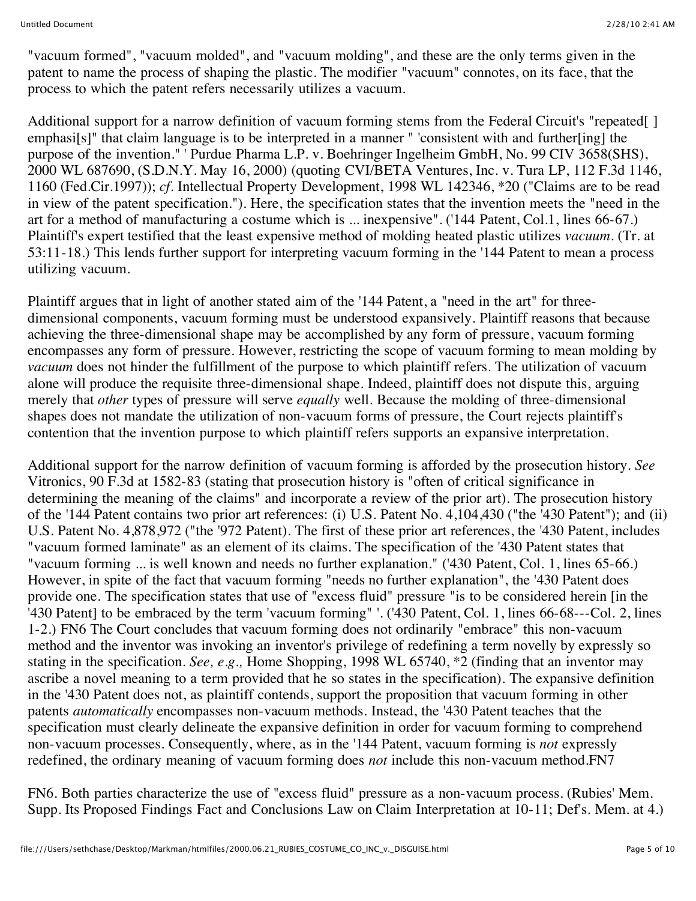"vacuum formed", "vacuum molded", and "vacuum molding", and these are the only terms given in the patent to name the process of shaping the plastic. The modifier "vacuum" connotes, on its face, that the process to which the patent refers necessarily utilizes a vacuum.

Additional support for a narrow definition of vacuum forming stems from the Federal Circuit's "repeated[] emphasi[s]" that claim language is to be interpreted in a manner " 'consistent with and further[ing] the purpose of the invention." ' Purdue Pharma L.P. v. Boehringer Ingelheim GmbH, No. 99 CIV 3658(SHS), 2000 WL 687690, (S.D.N.Y. May 16, 2000) (quoting CVI/BETA Ventures, Inc. v. Tura LP, 112 F.3d 1146, 1160 (Fed.Cir.1997)); *cf.* Intellectual Property Development, 1998 WL 142346, \*20 ("Claims are to be read in view of the patent specification."). Here, the specification states that the invention meets the "need in the art for a method of manufacturing a costume which is ... inexpensive". ('144 Patent, Col.1, lines 66-67.) Plaintiff's expert testified that the least expensive method of molding heated plastic utilizes *vacuum.* (Tr. at 53:11-18.) This lends further support for interpreting vacuum forming in the '144 Patent to mean a process utilizing vacuum.

Plaintiff argues that in light of another stated aim of the '144 Patent, a "need in the art" for threedimensional components, vacuum forming must be understood expansively. Plaintiff reasons that because achieving the three-dimensional shape may be accomplished by any form of pressure, vacuum forming encompasses any form of pressure. However, restricting the scope of vacuum forming to mean molding by *vacuum* does not hinder the fulfillment of the purpose to which plaintiff refers. The utilization of vacuum alone will produce the requisite three-dimensional shape. Indeed, plaintiff does not dispute this, arguing merely that *other* types of pressure will serve *equally* well. Because the molding of three-dimensional shapes does not mandate the utilization of non-vacuum forms of pressure, the Court rejects plaintiff's contention that the invention purpose to which plaintiff refers supports an expansive interpretation.

Additional support for the narrow definition of vacuum forming is afforded by the prosecution history. *See* Vitronics, 90 F.3d at 1582-83 (stating that prosecution history is "often of critical significance in determining the meaning of the claims" and incorporate a review of the prior art). The prosecution history of the '144 Patent contains two prior art references: (i) U.S. Patent No. 4,104,430 ("the '430 Patent"); and (ii) U.S. Patent No. 4,878,972 ("the '972 Patent). The first of these prior art references, the '430 Patent, includes "vacuum formed laminate" as an element of its claims. The specification of the '430 Patent states that "vacuum forming ... is well known and needs no further explanation." ('430 Patent, Col. 1, lines 65-66.) However, in spite of the fact that vacuum forming "needs no further explanation", the '430 Patent does provide one. The specification states that use of "excess fluid" pressure "is to be considered herein [in the '430 Patent] to be embraced by the term 'vacuum forming" '. ('430 Patent, Col. 1, lines 66-68---Col. 2, lines 1-2.) FN6 The Court concludes that vacuum forming does not ordinarily "embrace" this non-vacuum method and the inventor was invoking an inventor's privilege of redefining a term novelly by expressly so stating in the specification. *See, e.g.,* Home Shopping, 1998 WL 65740, \*2 (finding that an inventor may ascribe a novel meaning to a term provided that he so states in the specification). The expansive definition in the '430 Patent does not, as plaintiff contends, support the proposition that vacuum forming in other patents *automatically* encompasses non-vacuum methods. Instead, the '430 Patent teaches that the specification must clearly delineate the expansive definition in order for vacuum forming to comprehend non-vacuum processes. Consequently, where, as in the '144 Patent, vacuum forming is *not* expressly redefined, the ordinary meaning of vacuum forming does *not* include this non-vacuum method.FN7

FN6. Both parties characterize the use of "excess fluid" pressure as a non-vacuum process. (Rubies' Mem. Supp. Its Proposed Findings Fact and Conclusions Law on Claim Interpretation at 10-11; Def's. Mem. at 4.)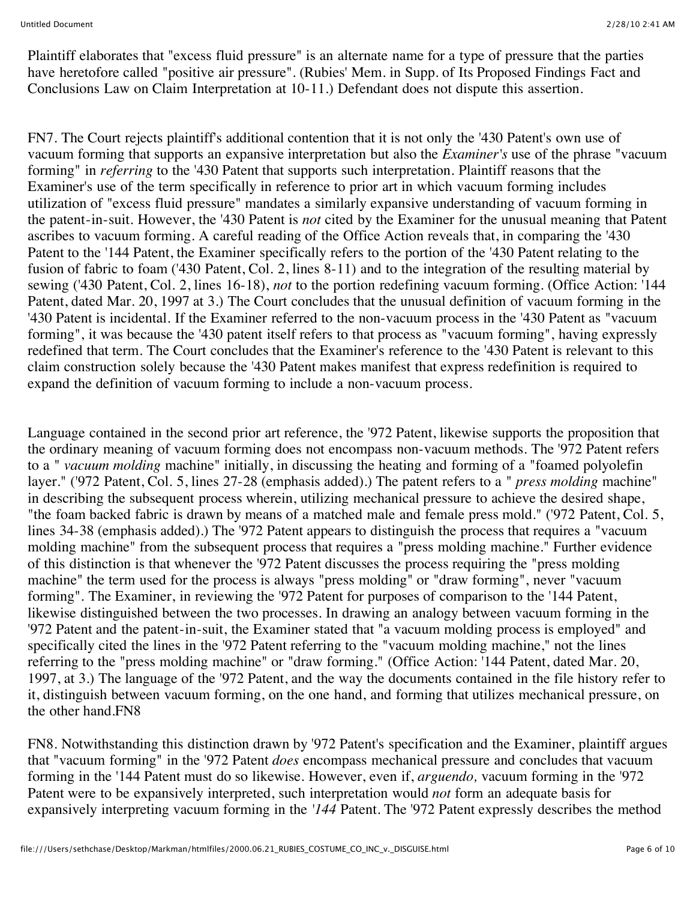Plaintiff elaborates that "excess fluid pressure" is an alternate name for a type of pressure that the parties have heretofore called "positive air pressure". (Rubies' Mem. in Supp. of Its Proposed Findings Fact and Conclusions Law on Claim Interpretation at 10-11.) Defendant does not dispute this assertion.

FN7. The Court rejects plaintiff's additional contention that it is not only the '430 Patent's own use of vacuum forming that supports an expansive interpretation but also the *Examiner's* use of the phrase "vacuum forming" in *referring* to the '430 Patent that supports such interpretation. Plaintiff reasons that the Examiner's use of the term specifically in reference to prior art in which vacuum forming includes utilization of "excess fluid pressure" mandates a similarly expansive understanding of vacuum forming in the patent-in-suit. However, the '430 Patent is *not* cited by the Examiner for the unusual meaning that Patent ascribes to vacuum forming. A careful reading of the Office Action reveals that, in comparing the '430 Patent to the '144 Patent, the Examiner specifically refers to the portion of the '430 Patent relating to the fusion of fabric to foam ('430 Patent, Col. 2, lines 8-11) and to the integration of the resulting material by sewing ('430 Patent, Col. 2, lines 16-18), *not* to the portion redefining vacuum forming. (Office Action: '144 Patent, dated Mar. 20, 1997 at 3.) The Court concludes that the unusual definition of vacuum forming in the '430 Patent is incidental. If the Examiner referred to the non-vacuum process in the '430 Patent as "vacuum forming", it was because the '430 patent itself refers to that process as "vacuum forming", having expressly redefined that term. The Court concludes that the Examiner's reference to the '430 Patent is relevant to this claim construction solely because the '430 Patent makes manifest that express redefinition is required to expand the definition of vacuum forming to include a non-vacuum process.

Language contained in the second prior art reference, the '972 Patent, likewise supports the proposition that the ordinary meaning of vacuum forming does not encompass non-vacuum methods. The '972 Patent refers to a " *vacuum molding* machine" initially, in discussing the heating and forming of a "foamed polyolefin layer." ('972 Patent, Col. 5, lines 27-28 (emphasis added).) The patent refers to a " *press molding* machine" in describing the subsequent process wherein, utilizing mechanical pressure to achieve the desired shape, "the foam backed fabric is drawn by means of a matched male and female press mold." ('972 Patent, Col. 5, lines 34-38 (emphasis added).) The '972 Patent appears to distinguish the process that requires a "vacuum molding machine" from the subsequent process that requires a "press molding machine." Further evidence of this distinction is that whenever the '972 Patent discusses the process requiring the "press molding machine" the term used for the process is always "press molding" or "draw forming", never "vacuum forming". The Examiner, in reviewing the '972 Patent for purposes of comparison to the '144 Patent, likewise distinguished between the two processes. In drawing an analogy between vacuum forming in the '972 Patent and the patent-in-suit, the Examiner stated that "a vacuum molding process is employed" and specifically cited the lines in the '972 Patent referring to the "vacuum molding machine," not the lines referring to the "press molding machine" or "draw forming." (Office Action: '144 Patent, dated Mar. 20, 1997, at 3.) The language of the '972 Patent, and the way the documents contained in the file history refer to it, distinguish between vacuum forming, on the one hand, and forming that utilizes mechanical pressure, on the other hand.FN8

FN8. Notwithstanding this distinction drawn by '972 Patent's specification and the Examiner, plaintiff argues that "vacuum forming" in the '972 Patent *does* encompass mechanical pressure and concludes that vacuum forming in the '144 Patent must do so likewise. However, even if, *arguendo,* vacuum forming in the '972 Patent were to be expansively interpreted, such interpretation would *not* form an adequate basis for expansively interpreting vacuum forming in the *'144* Patent. The '972 Patent expressly describes the method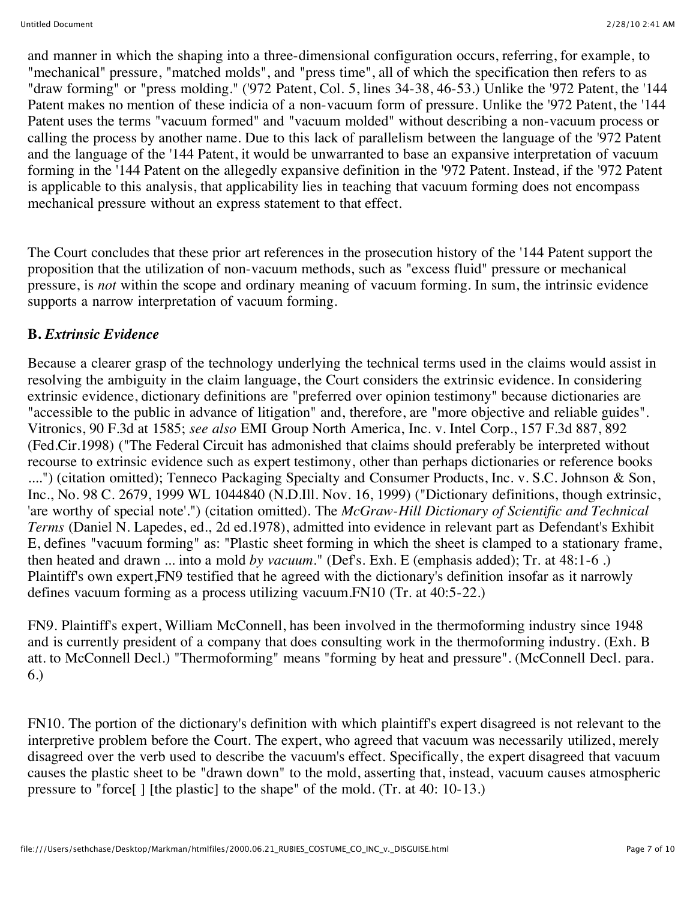and manner in which the shaping into a three-dimensional configuration occurs, referring, for example, to "mechanical" pressure, "matched molds", and "press time", all of which the specification then refers to as "draw forming" or "press molding." ('972 Patent, Col. 5, lines 34-38, 46-53.) Unlike the '972 Patent, the '144 Patent makes no mention of these indicia of a non-vacuum form of pressure. Unlike the '972 Patent, the '144 Patent uses the terms "vacuum formed" and "vacuum molded" without describing a non-vacuum process or calling the process by another name. Due to this lack of parallelism between the language of the '972 Patent and the language of the '144 Patent, it would be unwarranted to base an expansive interpretation of vacuum forming in the '144 Patent on the allegedly expansive definition in the '972 Patent. Instead, if the '972 Patent is applicable to this analysis, that applicability lies in teaching that vacuum forming does not encompass mechanical pressure without an express statement to that effect.

The Court concludes that these prior art references in the prosecution history of the '144 Patent support the proposition that the utilization of non-vacuum methods, such as "excess fluid" pressure or mechanical pressure, is *not* within the scope and ordinary meaning of vacuum forming. In sum, the intrinsic evidence supports a narrow interpretation of vacuum forming.

# **B.** *Extrinsic Evidence*

Because a clearer grasp of the technology underlying the technical terms used in the claims would assist in resolving the ambiguity in the claim language, the Court considers the extrinsic evidence. In considering extrinsic evidence, dictionary definitions are "preferred over opinion testimony" because dictionaries are "accessible to the public in advance of litigation" and, therefore, are "more objective and reliable guides". Vitronics, 90 F.3d at 1585; *see also* EMI Group North America, Inc. v. Intel Corp., 157 F.3d 887, 892 (Fed.Cir.1998) ("The Federal Circuit has admonished that claims should preferably be interpreted without recourse to extrinsic evidence such as expert testimony, other than perhaps dictionaries or reference books ....") (citation omitted); Tenneco Packaging Specialty and Consumer Products, Inc. v. S.C. Johnson & Son, Inc., No. 98 C. 2679, 1999 WL 1044840 (N.D.Ill. Nov. 16, 1999) ("Dictionary definitions, though extrinsic, 'are worthy of special note'.") (citation omitted). The *McGraw-Hill Dictionary of Scientific and Technical Terms* (Daniel N. Lapedes, ed., 2d ed.1978), admitted into evidence in relevant part as Defendant's Exhibit E, defines "vacuum forming" as: "Plastic sheet forming in which the sheet is clamped to a stationary frame, then heated and drawn ... into a mold *by vacuum.*" (Def's. Exh. E (emphasis added); Tr. at 48:1-6 .) Plaintiff's own expert,FN9 testified that he agreed with the dictionary's definition insofar as it narrowly defines vacuum forming as a process utilizing vacuum.FN10 (Tr. at 40:5-22.)

FN9. Plaintiff's expert, William McConnell, has been involved in the thermoforming industry since 1948 and is currently president of a company that does consulting work in the thermoforming industry. (Exh. B att. to McConnell Decl.) "Thermoforming" means "forming by heat and pressure". (McConnell Decl. para. 6.)

FN10. The portion of the dictionary's definition with which plaintiff's expert disagreed is not relevant to the interpretive problem before the Court. The expert, who agreed that vacuum was necessarily utilized, merely disagreed over the verb used to describe the vacuum's effect. Specifically, the expert disagreed that vacuum causes the plastic sheet to be "drawn down" to the mold, asserting that, instead, vacuum causes atmospheric pressure to "force[ ] [the plastic] to the shape" of the mold. (Tr. at 40: 10-13.)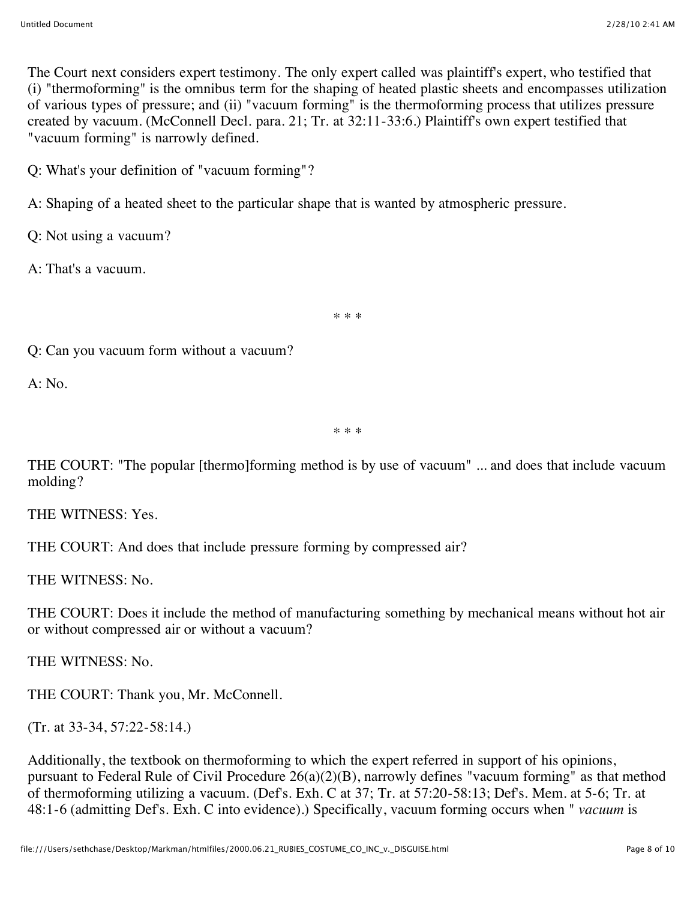The Court next considers expert testimony. The only expert called was plaintiff's expert, who testified that (i) "thermoforming" is the omnibus term for the shaping of heated plastic sheets and encompasses utilization of various types of pressure; and (ii) "vacuum forming" is the thermoforming process that utilizes pressure created by vacuum. (McConnell Decl. para. 21; Tr. at 32:11-33:6.) Plaintiff's own expert testified that "vacuum forming" is narrowly defined.

Q: What's your definition of "vacuum forming"?

A: Shaping of a heated sheet to the particular shape that is wanted by atmospheric pressure.

Q: Not using a vacuum?

A: That's a vacuum.

\* \* \*

Q: Can you vacuum form without a vacuum?

A: No.

\* \* \*

THE COURT: "The popular [thermo]forming method is by use of vacuum" ... and does that include vacuum molding?

THE WITNESS: Yes.

THE COURT: And does that include pressure forming by compressed air?

THE WITNESS: No.

THE COURT: Does it include the method of manufacturing something by mechanical means without hot air or without compressed air or without a vacuum?

THE WITNESS: No.

THE COURT: Thank you, Mr. McConnell.

(Tr. at 33-34, 57:22-58:14.)

Additionally, the textbook on thermoforming to which the expert referred in support of his opinions, pursuant to Federal Rule of Civil Procedure 26(a)(2)(B), narrowly defines "vacuum forming" as that method of thermoforming utilizing a vacuum. (Def's. Exh. C at 37; Tr. at 57:20-58:13; Def's. Mem. at 5-6; Tr. at 48:1-6 (admitting Def's. Exh. C into evidence).) Specifically, vacuum forming occurs when " *vacuum* is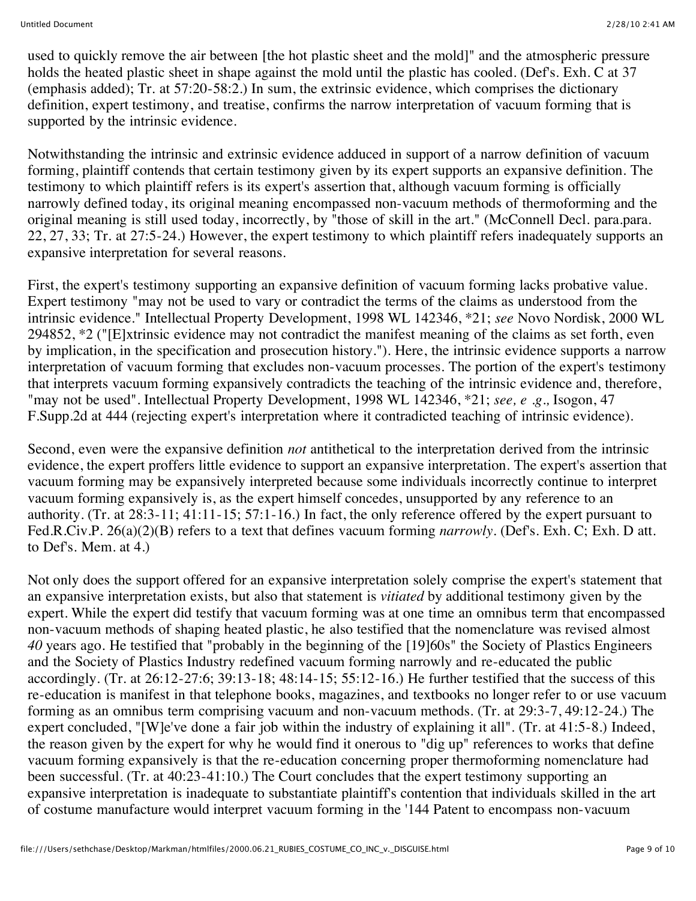used to quickly remove the air between [the hot plastic sheet and the mold]" and the atmospheric pressure holds the heated plastic sheet in shape against the mold until the plastic has cooled. (Def's. Exh. C at 37 (emphasis added); Tr. at 57:20-58:2.) In sum, the extrinsic evidence, which comprises the dictionary definition, expert testimony, and treatise, confirms the narrow interpretation of vacuum forming that is supported by the intrinsic evidence.

Notwithstanding the intrinsic and extrinsic evidence adduced in support of a narrow definition of vacuum forming, plaintiff contends that certain testimony given by its expert supports an expansive definition. The testimony to which plaintiff refers is its expert's assertion that, although vacuum forming is officially narrowly defined today, its original meaning encompassed non-vacuum methods of thermoforming and the original meaning is still used today, incorrectly, by "those of skill in the art." (McConnell Decl. para.para. 22, 27, 33; Tr. at 27:5-24.) However, the expert testimony to which plaintiff refers inadequately supports an expansive interpretation for several reasons.

First, the expert's testimony supporting an expansive definition of vacuum forming lacks probative value. Expert testimony "may not be used to vary or contradict the terms of the claims as understood from the intrinsic evidence." Intellectual Property Development, 1998 WL 142346, \*21; *see* Novo Nordisk, 2000 WL 294852, \*2 ("[E]xtrinsic evidence may not contradict the manifest meaning of the claims as set forth, even by implication, in the specification and prosecution history."). Here, the intrinsic evidence supports a narrow interpretation of vacuum forming that excludes non-vacuum processes. The portion of the expert's testimony that interprets vacuum forming expansively contradicts the teaching of the intrinsic evidence and, therefore, "may not be used". Intellectual Property Development, 1998 WL 142346, \*21; *see, e .g.,* Isogon, 47 F.Supp.2d at 444 (rejecting expert's interpretation where it contradicted teaching of intrinsic evidence).

Second, even were the expansive definition *not* antithetical to the interpretation derived from the intrinsic evidence, the expert proffers little evidence to support an expansive interpretation. The expert's assertion that vacuum forming may be expansively interpreted because some individuals incorrectly continue to interpret vacuum forming expansively is, as the expert himself concedes, unsupported by any reference to an authority. (Tr. at 28:3-11; 41:11-15; 57:1-16.) In fact, the only reference offered by the expert pursuant to Fed.R.Civ.P. 26(a)(2)(B) refers to a text that defines vacuum forming *narrowly.* (Def's. Exh. C; Exh. D att. to Def's. Mem. at 4.)

Not only does the support offered for an expansive interpretation solely comprise the expert's statement that an expansive interpretation exists, but also that statement is *vitiated* by additional testimony given by the expert. While the expert did testify that vacuum forming was at one time an omnibus term that encompassed non-vacuum methods of shaping heated plastic, he also testified that the nomenclature was revised almost *40* years ago. He testified that "probably in the beginning of the [19]60s" the Society of Plastics Engineers and the Society of Plastics Industry redefined vacuum forming narrowly and re-educated the public accordingly. (Tr. at 26:12-27:6; 39:13-18; 48:14-15; 55:12-16.) He further testified that the success of this re-education is manifest in that telephone books, magazines, and textbooks no longer refer to or use vacuum forming as an omnibus term comprising vacuum and non-vacuum methods. (Tr. at 29:3-7, 49:12-24.) The expert concluded, "[W]e've done a fair job within the industry of explaining it all". (Tr. at 41:5-8.) Indeed, the reason given by the expert for why he would find it onerous to "dig up" references to works that define vacuum forming expansively is that the re-education concerning proper thermoforming nomenclature had been successful. (Tr. at 40:23-41:10.) The Court concludes that the expert testimony supporting an expansive interpretation is inadequate to substantiate plaintiff's contention that individuals skilled in the art of costume manufacture would interpret vacuum forming in the '144 Patent to encompass non-vacuum